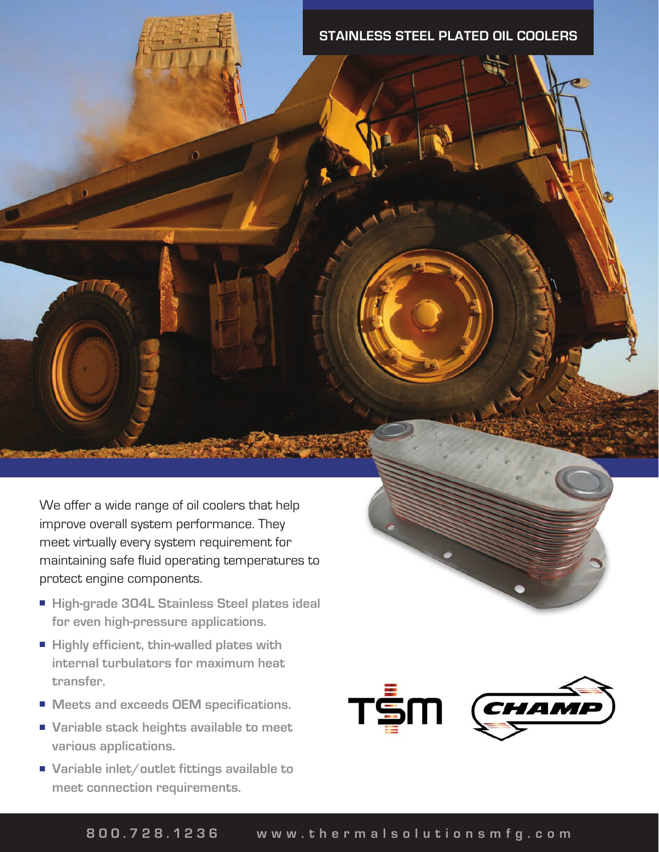## **STAINLESS STEEL PLATED OIL COOLERS**

We offer a wide range of oil coolers that help improve overall system performance. They meet virtually every system requirement for maintaining safe fluid operating temperatures to protect engine components.

- High-grade 304L Stainless Steel plates ideal **for even high-pressure applications.**
- Highly efficient, thin-walled plates with **internal turbulators for maximum heat transfer.**
- Meets and exceeds OEM specifications.
- Variable stack heights available to meet **various applications.**
- Variable inlet/outlet fittings available to **meet connection requirements.**